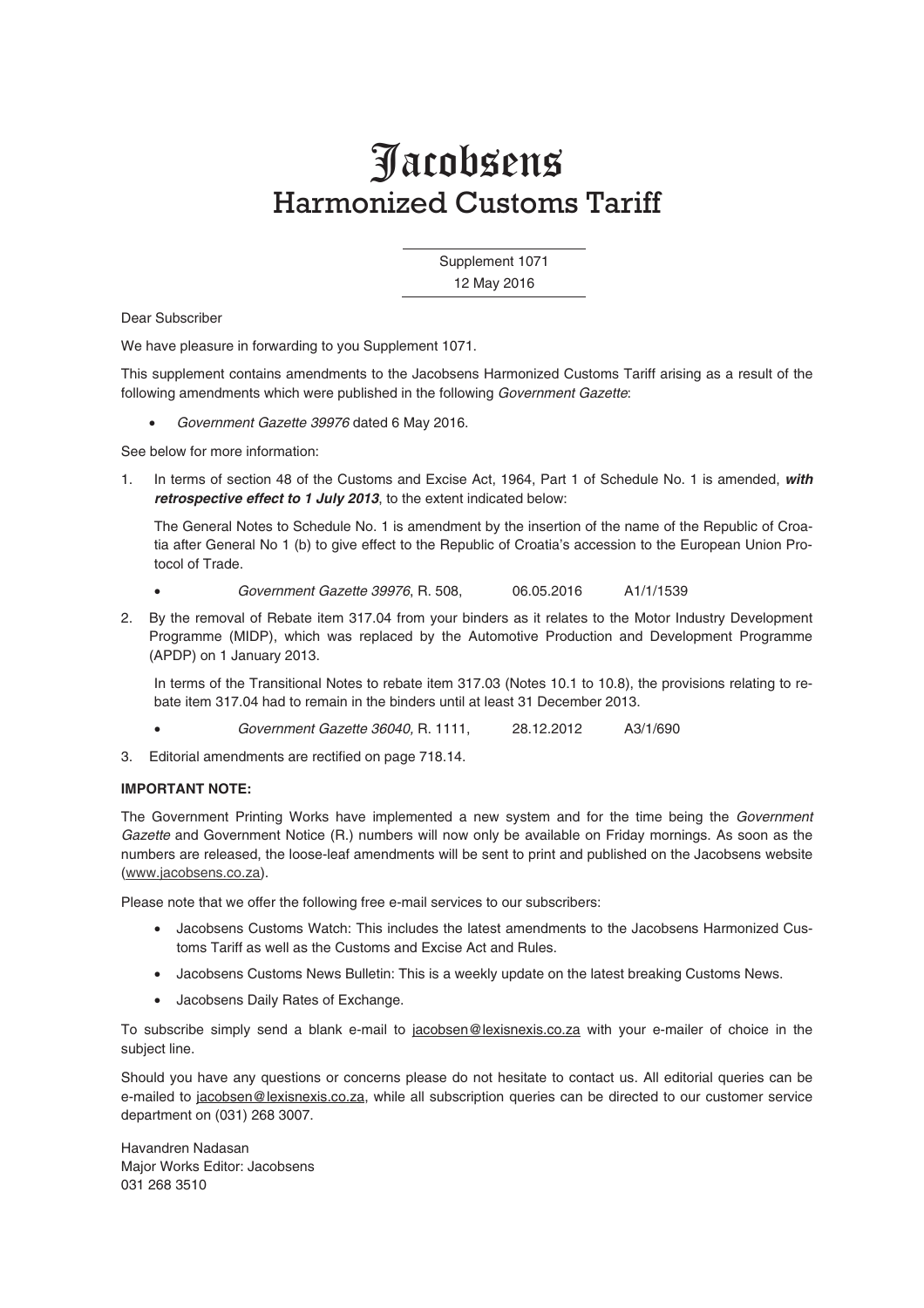### Jacobsens Harmonized Customs Tariff

 Supplement 1071 12 May 2016

Dear Subscriber

We have pleasure in forwarding to you Supplement 1071.

This supplement contains amendments to the Jacobsens Harmonized Customs Tariff arising as a result of the following amendments which were published in the following Government Gazette:

• Government Gazette 39976 dated 6 May 2016.

See below for more information:

1. In terms of section 48 of the Customs and Excise Act, 1964, Part 1 of Schedule No. 1 is amended, *with retrospective effect to 1 July 2013*, to the extent indicated below:

The General Notes to Schedule No. 1 is amendment by the insertion of the name of the Republic of Croatia after General No 1 (b) to give effect to the Republic of Croatia's accession to the European Union Protocol of Trade.

- Government Gazette 39976, R. 508, 06.05.2016 A1/1/1539
- 2. By the removal of Rebate item 317.04 from your binders as it relates to the Motor Industry Development Programme (MIDP), which was replaced by the Automotive Production and Development Programme (APDP) on 1 January 2013.

In terms of the Transitional Notes to rebate item 317.03 (Notes 10.1 to 10.8), the provisions relating to rebate item 317.04 had to remain in the binders until at least 31 December 2013.

- Government Gazette 36040, R. 1111, 28.12.2012 A3/1/690
- 3. Editorial amendments are rectified on page 718.14.

### **IMPORTANT NOTE:**

The Government Printing Works have implemented a new system and for the time being the Government Gazette and Government Notice (R.) numbers will now only be available on Friday mornings. As soon as the numbers are released, the loose-leaf amendments will be sent to print and published on the Jacobsens website (www.jacobsens.co.za).

Please note that we offer the following free e-mail services to our subscribers:

- Jacobsens Customs Watch: This includes the latest amendments to the Jacobsens Harmonized Customs Tariff as well as the Customs and Excise Act and Rules.
- Jacobsens Customs News Bulletin: This is a weekly update on the latest breaking Customs News.
- Jacobsens Daily Rates of Exchange.

To subscribe simply send a blank e-mail to jacobsen@lexisnexis.co.za with your e-mailer of choice in the subject line.

Should you have any questions or concerns please do not hesitate to contact us. All editorial queries can be e-mailed to jacobsen@lexisnexis.co.za, while all subscription queries can be directed to our customer service department on (031) 268 3007.

Havandren Nadasan Major Works Editor: Jacobsens 031 268 3510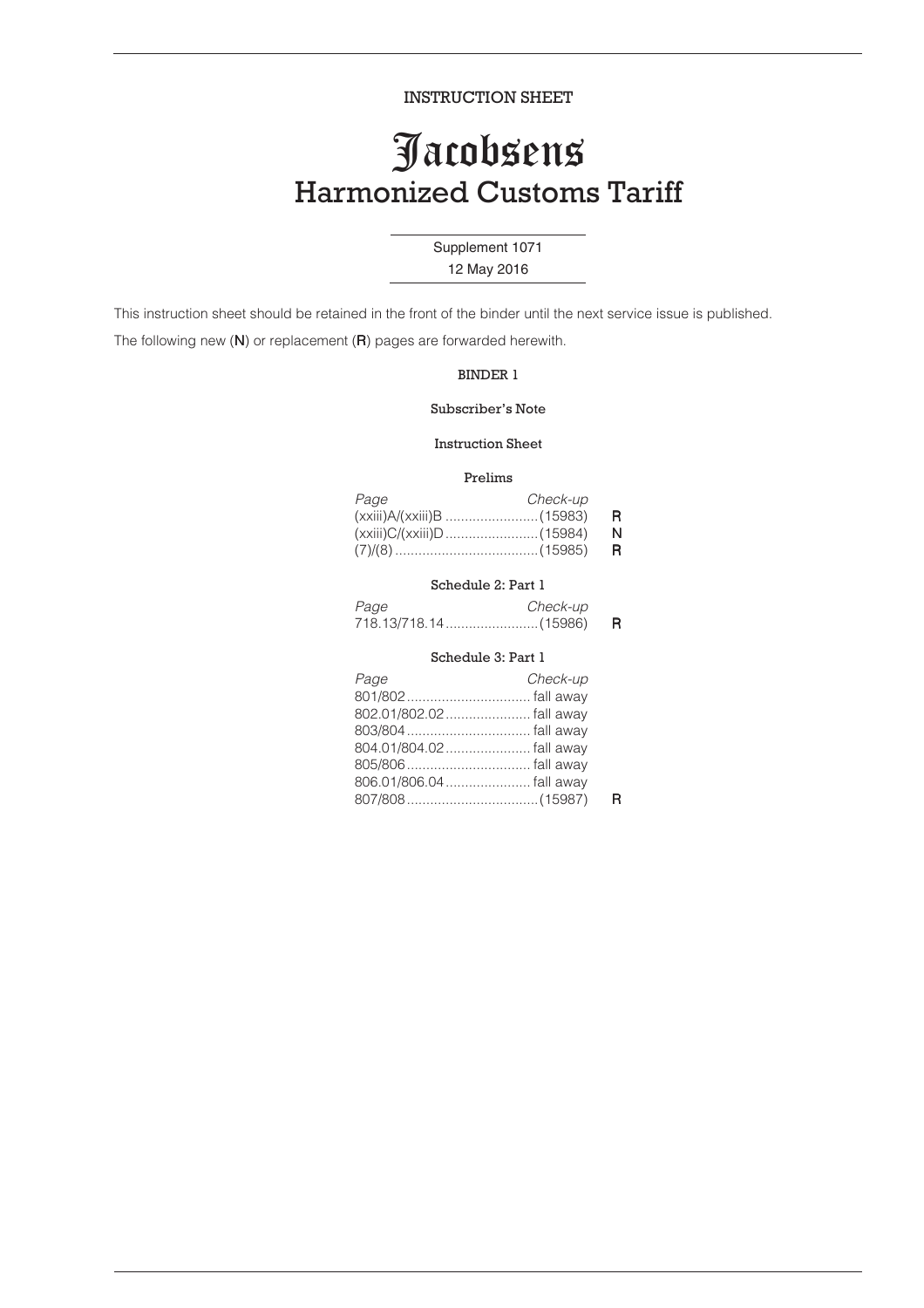INSTRUCTION SHEET

### Jacobsens Harmonized Customs Tariff

### Supplement 1071

12 May 2016

This instruction sheet should be retained in the front of the binder until the next service issue is published.

The following new (N) or replacement (R) pages are forwarded herewith.

### BINDER 1

### Subscriber's Note

### Instruction Sheet

### Prelims

| Page | Check-up |    |
|------|----------|----|
|      |          | -R |
|      |          | N  |
|      |          | R. |

### Schedule 2: Part 1

| Page | <i>Check-up</i> |    |
|------|-----------------|----|
|      |                 | R. |

### Schedule 3: Part 1

| Page                     | Check-up |  |
|--------------------------|----------|--|
|                          |          |  |
|                          |          |  |
|                          |          |  |
|                          |          |  |
|                          |          |  |
| 806.01/806.04  fall away |          |  |
|                          |          |  |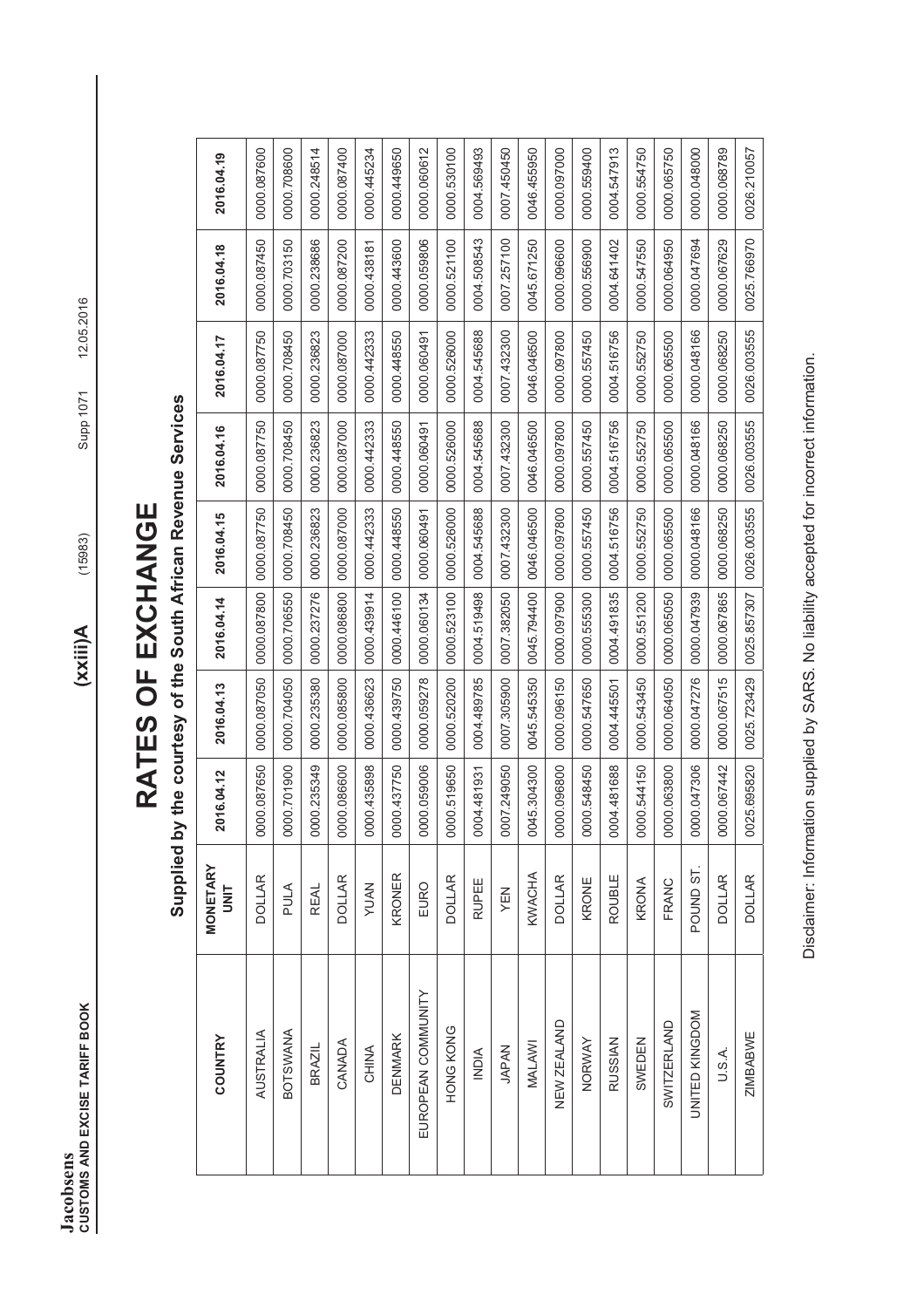**CUSTOMS AND EXCISE TARIFF BOOK** (15983) (15983) (15983) Supp 1071 12.05.2016 **Jacobsens<br>CUSTOMS AND EXCISE TARIFF BOOK Jacobsens** 

 $(xxii)$ A

 $(15983)$ 

# RATES OF EXCHANGE **RATES OF EXCHANGE**

# Supplied by the courtesy of the South African Revenue Services **Supplied by the courtesy of the South African Revenue Services**

| COUNTRY            | <b>MONETARY</b><br>UNIT | 2016.04.12      | 2016.04.13   | 2016.04.14   | 2016.04.15   | 2016.04.16   | 2016.04.17   | 2016.04.18   | 2016.04.19   |
|--------------------|-------------------------|-----------------|--------------|--------------|--------------|--------------|--------------|--------------|--------------|
| AUSTRALIA          | <b>DOLLAR</b>           | 0000.087650     | 0000.087050  | 00000.087800 | 0000.087750  | 0000.087750  | 0000.087750  | 00000.087450 | 0000.087600  |
| <b>BOTSWANA</b>    | PULA                    | 0000.701900     | 0000.704050  | 0000.706550  | 0000.708450  | 0000.708450  | 00000.708450 | 0000.703150  | 0000.708600  |
| <b>BRAZIL</b>      | <b>REAL</b>             | 000.235349<br>o | 0000.235380  | 0000.237276  | 0000.236823  | 0000.236823  | 0000.236823  | 0000.238686  | 0000.248514  |
| CANADA             | <b>DOLLAR</b>           | 000.086600<br>O | 0000.085800  | 0000.086800  | 0000.087000  | 0000.087000  | 0000.087000  | 0000.087200  | 0000.087400  |
| CHINA              | <b>YUAN</b>             | 0000.435898     | 0000.436623  | 0000.439914  | 0000.442333  | 0000.442333  | 0000.442333  | 0000.438181  | 0000.445234  |
| <b>DENMARK</b>     | KRONER                  | 0000.437750     | 0000.439750  | 0000.446100  | 0000.448550  | 00000.448550 | 00000.448550 | 0000.443600  | 0000.449650  |
| EUROPEAN COMMUNITY | EURO                    | 0000.059006     | 0000.059278  | 0000.060134  | 0000.060491  | 0000.060491  | 0000.060491  | 0000.059806  | 0000.060612  |
| HONG KONG          | <b>DOLLAR</b>           | 000.519650<br>o | 0000.520200  | 0000.523100  | 0000.526000  | 0000.526000  | 0000.526000  | 0000.521100  | 0000.530100  |
| <b>NDIA</b>        | <b>RUPEE</b>            | 0004.481931     | 0004.489785  | 0004.519498  | 0004.545688  | 0004.545688  | 0004.545688  | 0004.508543  | 0004.569493  |
| <b>JAPAN</b>       | YEN                     | 0007.249050     | 0007.305900  | 0007.382050  | 0007.432300  | 0007.432300  | 0007.432300  | 0007.257100  | 0007.450450  |
| MALAWI             | KWACHA                  | 045.304300<br>O | 0045.545350  | 0045.794400  | 0046.046500  | 0046.046500  | 0046.046500  | 0045.671250  | 0046.455950  |
| NEW ZEALAND        | <b>DOLLAR</b>           | 0000.096800     | 00000.096150 | 0000.097900  | 0000.097800  | 00000.097800 | 00000.097800 | 00000.096600 | 0000.097000  |
| NORWAY             | KRONE                   | 000.548450<br>O | 0000.547650  | 0000.555300  | 0000.557450  | 0000.557450  | 0000.557450  | 0000.556900  | 00000.559400 |
| <b>RUSSIAN</b>     | ROUBLE                  | 0004.481688     | 0004.445501  | 0004.491835  | 0004.516756  | 0004.516756  | 0004.516756  | 0004.641402  | 0004.547913  |
| SWEDEN             | KRONA                   | 0000.544150     | 0000.543450  | 0000.551200  | 0000.552750  | 0000.552750  | 0000.552750  | 0000.547550  | 0000.554750  |
| <b>SWITZERLAND</b> | FRANC                   | 0000.063800     | 00000.064050 | 0000.065050  | 00000.065500 | 00000.065500 | 00000.065500 | 00000.064950 | 0000.065750  |
| UNITED KINGDOM     | POUND ST.               | 000.047306<br>O | 0000.047276  | 0000.047939  | 0000.048166  | 0000.048166  | 0000.048166  | 0000.047694  | 0000.048000  |
| U.S.A.             | <b>DOLLAR</b>           | 0000.067442     | 0000.067515  | 0000.067865  | 0000.068250  | 0000.068250  | 0000.068250  | 0000.067629  | 0000.068789  |
| <b>ZIMBABWE</b>    | <b>DOLLAR</b>           | 0025.695820     | 0025.723429  | 0025.857307  | 0026.003555  | 0026.003555  | 0026.003555  | 0025.766970  | 0026.210057  |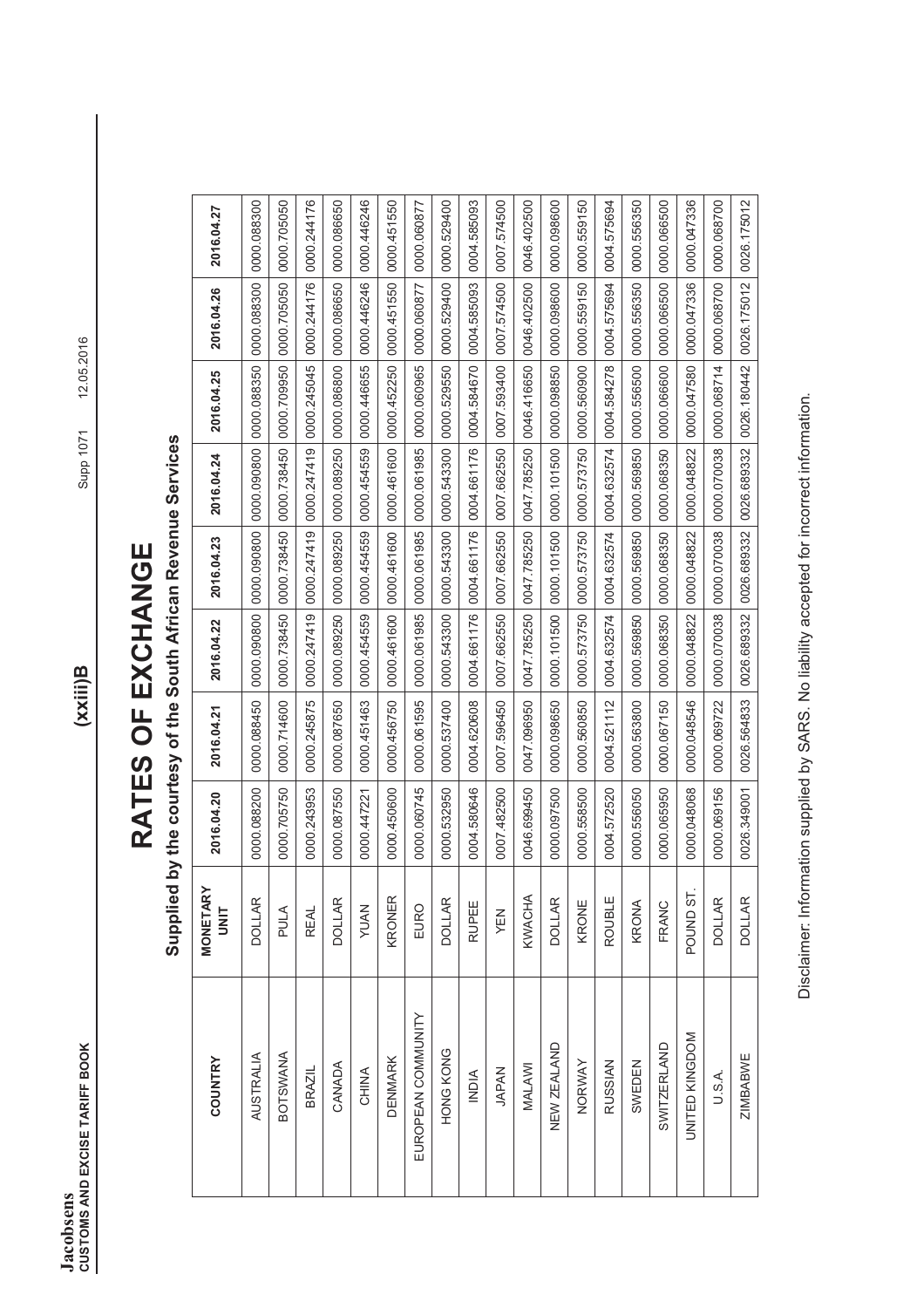**CUSTOMS AND EXCISE TARIFF BOOK** (XXIII)B<br>CUSTOMS AND EXCISE TARIFF BOOK **Jacobsens<br>CUSTOMS AND EXCISE TARIFF BOOK Jacobsens** 

 $(xxii)B$ 

# RATES OF EXCHANGE **RATES OF EXCHANGE**

Supplied by the courtesy of the South African Revenue Services **Supplied by the courtesy of the South African Revenue Services** 

| <b>COUNTRY</b>     | <b>MONETARY</b><br><b>UNIT</b> | 2016.04.20   | 2016.04.21   | 2016.04.22  | 2016.04.23  | 2016.04.24  | 2016.04.25   | 2016.04.26  | 2016.04.27   |
|--------------------|--------------------------------|--------------|--------------|-------------|-------------|-------------|--------------|-------------|--------------|
| AUSTRALIA          | <b>DOLLAR</b>                  | 00000.088200 | 00000.088450 | 0000.090800 | 0000.090800 | 0000.090800 | 0000.088350  | 0000.088300 | 0000.088300  |
| <b>BOTSWANA</b>    | PULA                           | 0000.705750  | 0000.714600  | 0000.738450 | 0000.738450 | 0000.738450 | 0000.709950  | 0000.705050 | 0000.705050  |
| <b>BRAZIL</b>      | <b>REAL</b>                    | 0000.243953  | 0000.245875  | 0000.247419 | 0000.247419 | 0000.247419 | 0000.245045  | 0000.244176 | 0000.244176  |
| CANADA             | <b>DOLLAR</b>                  | 0000.087550  | 0000.087650  | 0000.089250 | 0000.089250 | 0000.089250 | 0000.086800  | 0000.086650 | 00000.086650 |
| CHINA              | <b>YUAN</b>                    | 0000.447221  | 0000.451463  | 0000.454559 | 0000.454559 | 0000.454559 | 0000.446655  | 0000.446246 | 00000.446246 |
| <b>DENMARK</b>     | KRONER                         | 0000.450600  | 0000.456750  | 0000.461600 | 0000.461600 | 0000.461600 | 0000.452250  | 0000.451550 | 0000.451550  |
| EUROPEAN COMMUNITY | EURO                           | 0000.060745  | 0000.061595  | 0000.061985 | 0000.061985 | 0000.061985 | 0000.060965  | 0000.060877 | 0000.060877  |
| HONG KONG          | <b>DOLLAR</b>                  | 0000.532950  | 0000.537400  | 0000.543300 | 0000.543300 | 0000.543300 | 0000.529550  | 0000.529400 | 0000.529400  |
| <b>NDIA</b>        | <b>RUPEE</b>                   | 0004.580646  | 0004.620608  | 0004.661176 | 0004.661176 | 0004.661176 | 0004.584670  | 0004.585093 | 0004.585093  |
| <b>JAPAN</b>       | YEN                            | 0007.482500  | 0007.596450  | 0007.662550 | 0007.662550 | 0007.662550 | 0007.593400  | 0007.574500 | 0007.574500  |
| MALAWI             | KWACHA                         | 0046.699450  | 0047.096950  | 0047.785250 | 0047.785250 | 0047.785250 | 0046.416650  | 0046.402500 | 0046.402500  |
| NEW ZEALAND        | <b>DOLLAR</b>                  | 0000.097500  | 0000.098650  | 0000.101500 | 0000.101500 | 0000.101500 | 0000.098850  | 0000.098600 | 0000.098600  |
| NORWAY             | KRONE                          | 0000.558500  | 0000.560850  | 0000.573750 | 0000.573750 | 0000.573750 | 0000.560900  | 0000.559150 | 0000.559150  |
| <b>RUSSIAN</b>     | <b>ROUBLE</b>                  | 0004.572520  | 0004.521112  | 0004.632574 | 0004.632574 | 0004.632574 | 0004.584278  | 0004.575694 | 0004.575694  |
| SWEDEN             | KRONA                          | 0000.556050  | 0000.563800  | 0000.569850 | 0000.569850 | 0000.569850 | 0000.556500  | 0000.556350 | 0000.556350  |
| <b>SWITZERLAND</b> | FRANC                          | 0000.065950  | 0000.067150  | 0000.068350 | 0000.068350 | 0000.068350 | 00000.066600 | 0000.066500 | 0000.066500  |
| UNITED KINGDOM     | POUND <sub>S1</sub>            | 0000.048068  | 0000.048546  | 0000.048822 | 0000.048822 | 0000.048822 | 0000.047580  | 0000.047336 | 0000.047336  |
| U.S.A.             | <b>DOLLAR</b>                  | 0000.069156  | 0000.069722  | 0000.070038 | 0000.070038 | 0000.070038 | 0000.068714  | 0000.068700 | 0000.068700  |
| <b>ZIMBABWE</b>    | <b>DOLLAR</b>                  | 0026.349001  | 0026.564833  | 0026.689332 | 0026.689332 | 0026.689332 | 0026.180442  | 0026.175012 | 0026.175012  |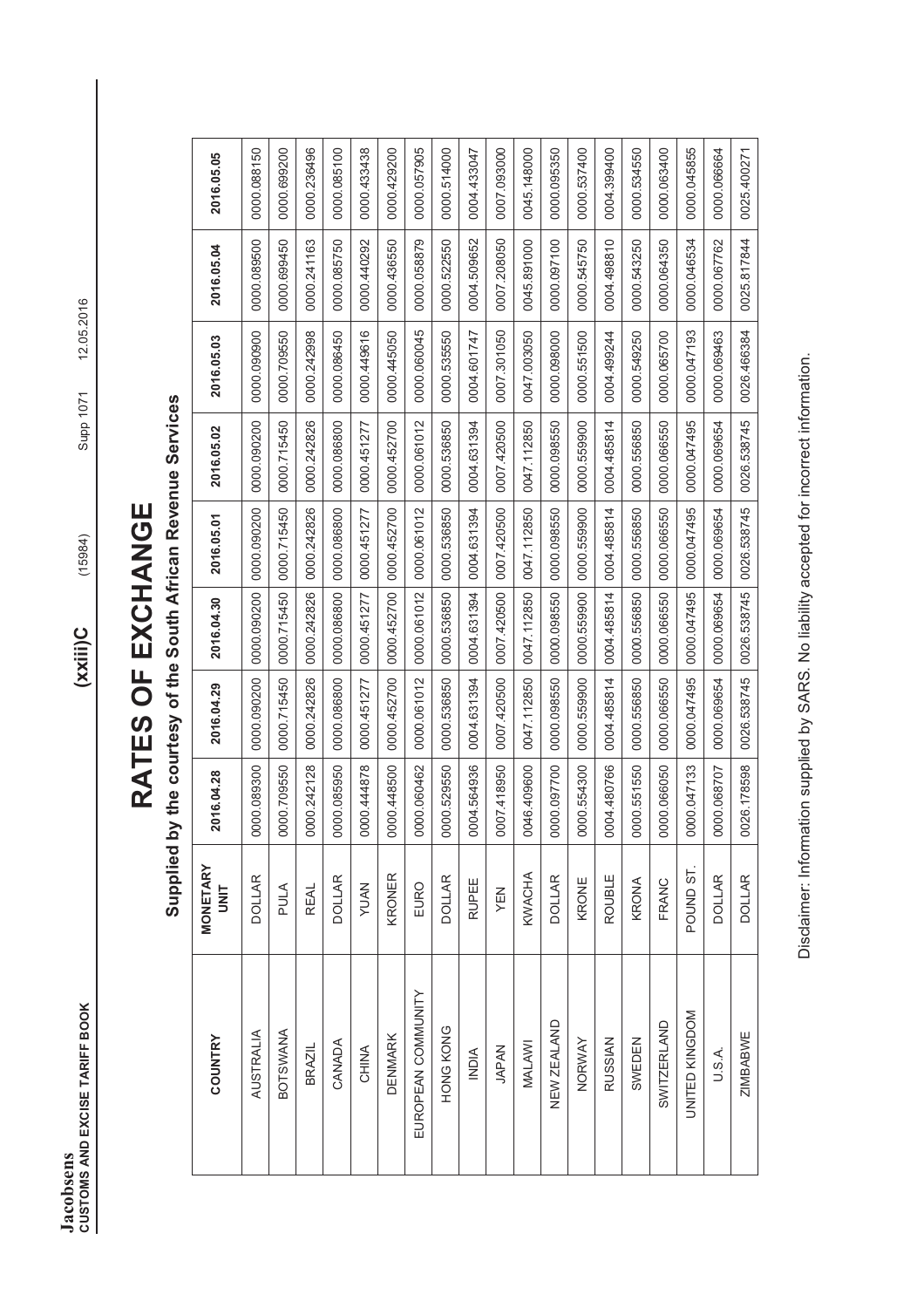**CUSTOMS AND EXCISE TARIFF BOOK** (15984) (15984) (15984) Supp 1071 12.05.2016 **Jacobsens<br>CUSTOMS AND EXCISE TARIFF BOOK Jacobsens** 

 $(xxii)C$ 

 $(15984)$ 

# RATES OF EXCHANGE **RATES OF EXCHANGE**

Supplied by the courtesy of the South African Revenue Services **Supplied by the courtesy of the South African Revenue Services** 

| <b>COUNTRY</b>     | <b>MONETARY</b><br><b>UNIT</b> | 2016.04.28   | 2016.04.29   | 2016.04.30   | 2016.05.01  | 2016.05.02   | 2016.05.03   | 2016.05.04   | 2016.05.05   |
|--------------------|--------------------------------|--------------|--------------|--------------|-------------|--------------|--------------|--------------|--------------|
| <b>AUSTRALIA</b>   | <b>DOLLAR</b>                  | 00000.089300 | 00000.090200 | 00000.090200 | 0000.090200 | 0000.090200  | 00000.090900 | 0000.089500  | 0000.088150  |
| <b>BOTSWANA</b>    | PULA                           | 0000.709550  | 0000.715450  | 0000.715450  | 0000.715450 | 0000.715450  | 0000.709550  | 00000.699450 | 0000.699200  |
| <b>BRAZIL</b>      | <b>REAL</b>                    | 0000.242128  | 0000.242826  | 0000.242826  | 0000.242826 | 0000.242826  | 0000.242998  | 0000.241163  | 0000.236496  |
| CANADA             | <b>DOLLAR</b>                  | 0000.085950  | 00000.086800 | 0000.086800  | 0000.086800 | 00000.086800 | 00000.086450 | 0000.085750  | 0000.085100  |
| CHINA              | <b>YUAN</b>                    | 0000.444878  | 0000.451277  | 0000.451277  | 0000.451277 | 0000.451277  | 0000.449616  | 0000.440292  | 0000.433438  |
| <b>DENMARK</b>     | KRONER                         | 0000.448500  | 0000.452700  | 0000.452700  | 0000.452700 | 0000.452700  | 0000.445050  | 00000.436550 | 00000.429200 |
| EUROPEAN COMMUNITY | EURO                           | 0000.060462  | 0000.061012  | 0000.061012  | 0000.061012 | 0000.061012  | 0000.060045  | 0000.058879  | 0000.057905  |
| HONG KONG          | <b>DOLLAR</b>                  | 0000.529550  | 0000.536850  | 0000.536850  | 0000.536850 | 0000.536850  | 0000.535550  | 0000.522550  | 0000.514000  |
| <b>NDIA</b>        | <b>RUPEE</b>                   | 0004.564936  | 0004.631394  | 0004.631394  | 0004.631394 | 0004.631394  | 0004.601747  | 0004.509652  | 0004.433047  |
| <b>JAPAN</b>       | YEN                            | 0007.418950  | 0007.420500  | 0007.420500  | 0007.420500 | 0007.420500  | 0007.301050  | 0007.208050  | 0007.093000  |
| MALAWI             | KWACHA                         | 0046.409600  | 0047.112850  | 0047.112850  | 0047.112850 | 0047.112850  | 0047.003050  | 0045.891000  | 0045.148000  |
| NEW ZEALAND        | <b>DOLLAR</b>                  | 00000.097700 | 0000.098550  | 0000.098550  | 0000.098550 | 0000.098550  | 00000.098000 | 0000.097100  | 00000.095350 |
| NORWAY             | KRONE                          | 0000.554300  | 0000.559900  | 0000.559900  | 0000.559900 | 0000.559900  | 0000.551500  | 0000.545750  | 0000.537400  |
| <b>RUSSIAN</b>     | ROUBLE                         | 0004.480766  | 0004.485814  | 0004.485814  | 0004.485814 | 0004.485814  | 0004.499244  | 0004.498810  | 0004.399400  |
| SWEDEN             | KRONA                          | 0000.551550  | 0000.556850  | 0000.556850  | 0000.556850 | 0000.556850  | 0000.549250  | 0000.543250  | 0000.534550  |
| <b>SWITZERLAND</b> | FRANC                          | 0000.066050  | 0000.066550  | 0000.066550  | 0000.066550 | 0000.066550  | 0000.065700  | 00000.064350 | 00000.063400 |
| UNITED KINGDOM     | POUND ST.                      | 0000.047133  | 0000.047495  | 0000.047495  | 0000.047495 | 0000.047495  | 0000.047193  | 0000.046534  | 0000.045855  |
| U.S.A.             | <b>DOLLAR</b>                  | 0000.068707  | 0000.069654  | 0000.069654  | 0000.069654 | 0000.069654  | 0000.069463  | 0000.067762  | 0000.066664  |
| <b>ZIMBABWE</b>    | <b>DOLLAR</b>                  | 0026.178598  | 0026.538745  | 0026.538745  | 0026.538745 | 0026.538745  | 0026.466384  | 0025.817844  | 0025.400271  |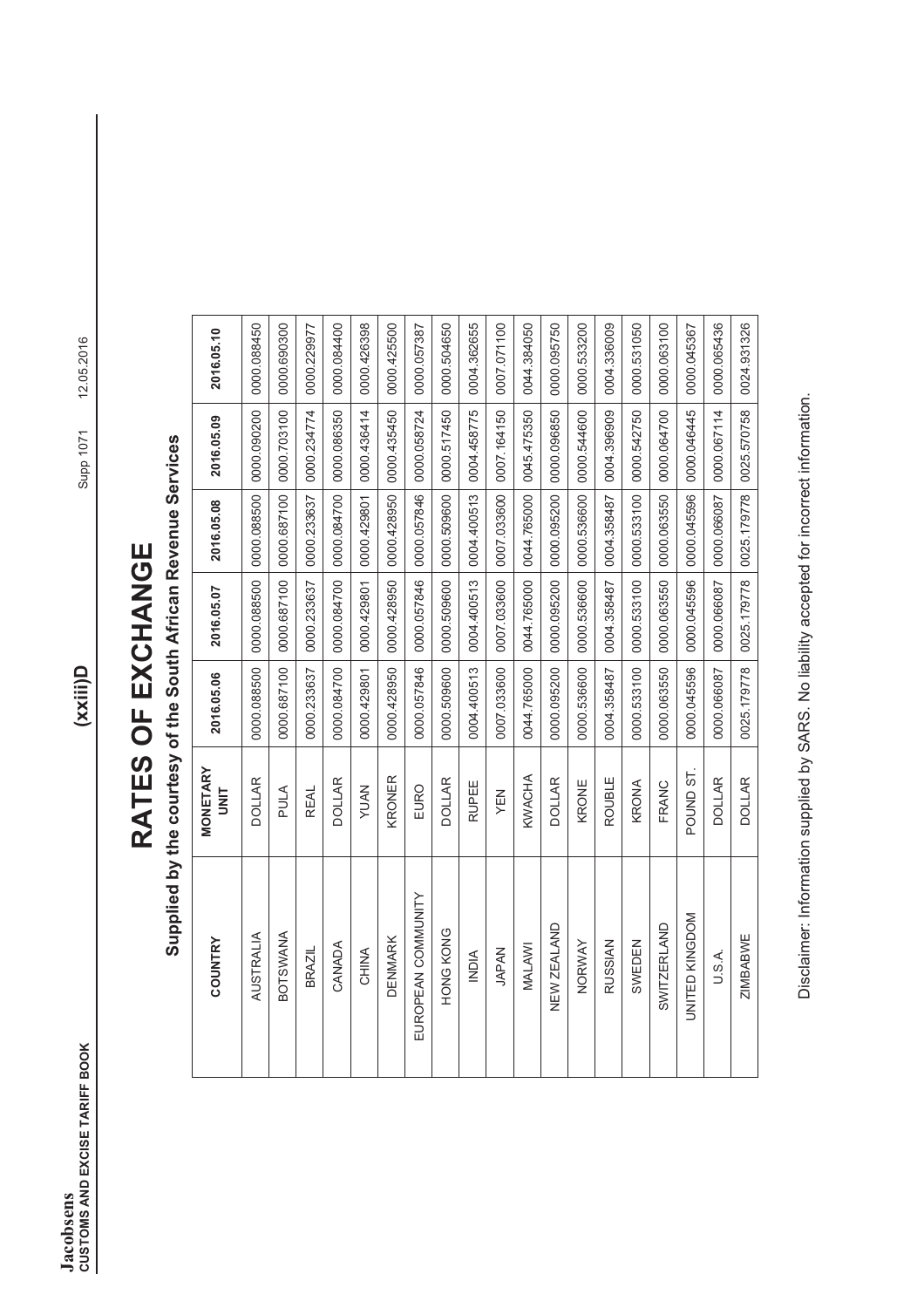# RATES OF EXCHANGE **RATES OF EXCHANGE**

Supplied by the courtesy of the South African Revenue Services **Supplied by the courtesy of the South African Revenue Services** 

| COUNTRY            | <b>MONETARY</b><br><b>UNIT</b> | 2016.05.06   | 2016.05.07  | 2016.05.08  | 2016.05.09              | 2016.05.10   |
|--------------------|--------------------------------|--------------|-------------|-------------|-------------------------|--------------|
| AUSTRALIA          | <b>DOLLAR</b>                  | 00000.088500 | 0000.088500 | 0000.088500 | 00000.090200            | 00000.088450 |
| <b>BOTSWANA</b>    | PULA                           | 0000.687100  | 0000.687100 | 0000.687100 | 0000.703100             | 0000.690300  |
| BRAZIL             | <b>REAL</b>                    | 0000.233637  | 0000.233637 | 0000.233637 | 0000.234774             | 0000.229977  |
| CANADA             | <b>DOLLAR</b>                  | 0000.084700  | 0000.084700 | 0000.084700 | 0000.086350             | 0000.084400  |
| CHINA              | <b>NAUY</b>                    | 0000.429801  | 0000.429801 | 0000.429801 | 0000.436414             | 0000.426398  |
| <b>DENMARK</b>     | KRONER                         | 0000.428950  | 0000.428950 | 0000.428950 | 0000.435450             | 0000.425500  |
| EUROPEAN COMMUNITY | EURO                           | 0000.057846  | 0000.057846 | 0000.057846 | 0000.058724             | 0000.057387  |
| HONG KONG          | <b>DOLLAR</b>                  | 0000.509600  | 0000.509600 | 0000.509600 | 0000.517450             | 0000.504650  |
| <b>NDIA</b>        | <b>RUPEE</b>                   | 0004.400513  | 0004.400513 | 0004.400513 | 0004.458775             | 0004.362655  |
| <b>JAPAN</b>       | YEN                            | 0007.033600  | 0007.033600 |             | 0007.033600 0007.164150 | 0007.071100  |
| MALAWI             | KWACHA                         | 0044.765000  | 0044.765000 | 0044.765000 | 0045.475350             | 0044.384050  |
| NEW ZEALAND        | <b>DOLLAR</b>                  | 0000.095200  | 0000.095200 | 0000.095200 | 0000.096850             | 0000.095750  |
| NORWAY             | KRONE                          | 0000.536600  | 0000.536600 | 0000.536600 | 0000.544600             | 0000.533200  |
| <b>RUSSIAN</b>     | ROUBLE                         | 0004.358487  | 0004.358487 | 0004.358487 | 0004.396909             | 0004.336009  |
| SWEDEN             | KRONA                          | 0000.533100  | 0000.533100 | 0000.533100 | 0000.542750             | 0000.531050  |
| SWITZERLAND        | FRANC                          | 0000.063550  | 0000.063550 | 0000.063550 | 00000.064700            | 0000.063100  |
| UNITED KINGDOM     | POUND ST.                      | 0000.045596  | 0000.045596 | 0000.045596 | 0000.046445             | 0000.045367  |
| U.S.A.             | <b>DOLLAR</b>                  | 0000.066087  | 0000.066087 | 0000.066087 | 0000.067114             | 0000.065436  |
| <b>ZIMBABWE</b>    | <b>DOLLAR</b>                  | 0025.179778  | 0025.179778 | 0025.179778 | 0025.570758             | 0024.931326  |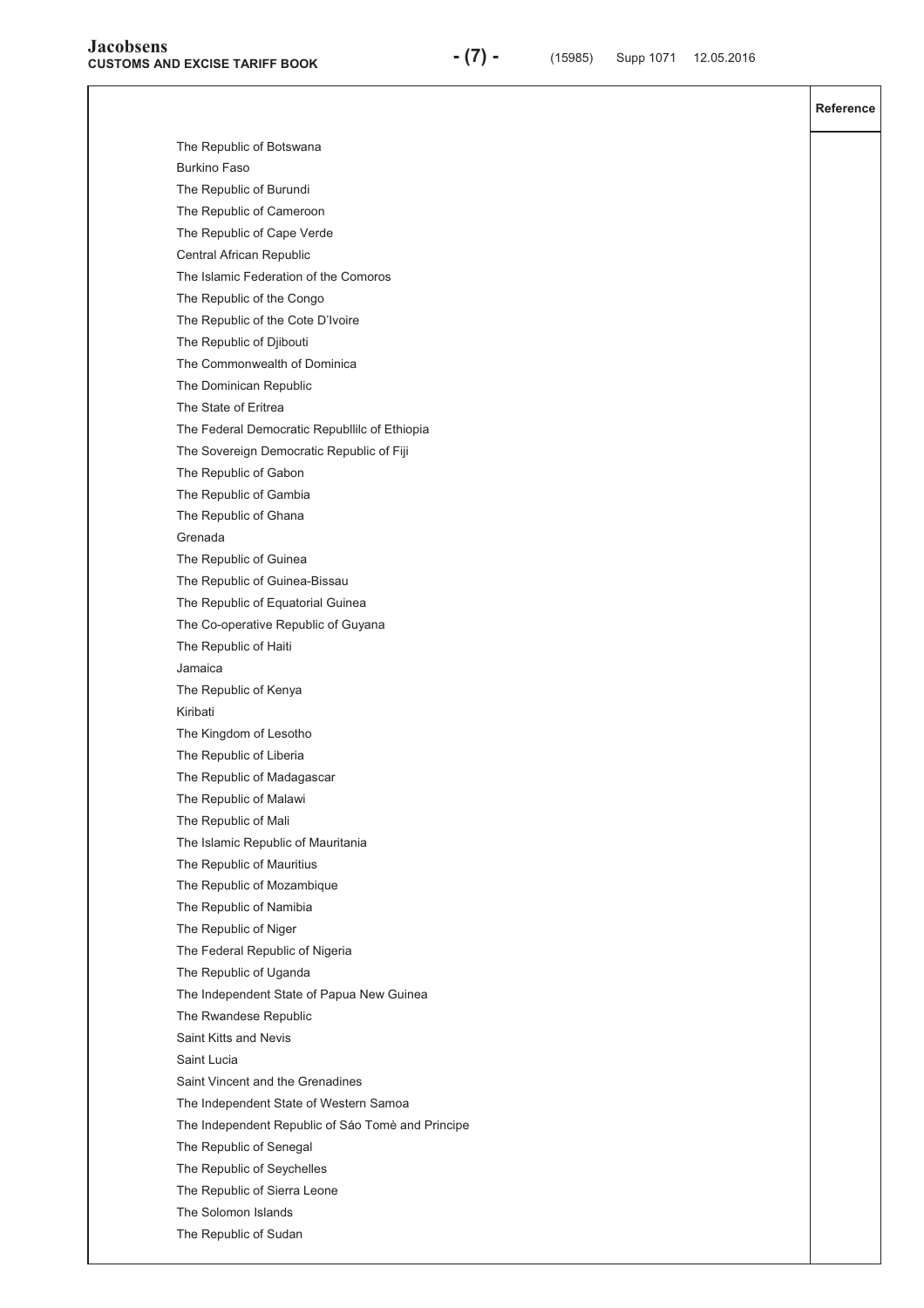**Reference**  The Republic of Botswana Burkino Faso The Republic of Burundi The Republic of Cameroon The Republic of Cape Verde Central African Republic The Islamic Federation of the Comoros The Republic of the Congo The Republic of the Cote D'Ivoire The Republic of Djibouti The Commonwealth of Dominica The Dominican Republic The State of Eritrea The Federal Democratic Republlilc of Ethiopia The Sovereign Democratic Republic of Fiji The Republic of Gabon The Republic of Gambia The Republic of Ghana Grenada The Republic of Guinea The Republic of Guinea-Bissau The Republic of Equatorial Guinea The Co-operative Republic of Guyana The Republic of Haiti Jamaica The Republic of Kenya Kiribati The Kingdom of Lesotho The Republic of Liberia The Republic of Madagascar The Republic of Malawi The Republic of Mali The Islamic Republic of Mauritania The Republic of Mauritius The Republic of Mozambique The Republic of Namibia The Republic of Niger The Federal Republic of Nigeria The Republic of Uganda The Independent State of Papua New Guinea The Rwandese Republic Saint Kitts and Nevis Saint Lucia Saint Vincent and the Grenadines The Independent State of Western Samoa The Independent Republic of Sáo Tomè and Principe The Republic of Senegal The Republic of Seychelles The Republic of Sierra Leone The Solomon Islands The Republic of Sudan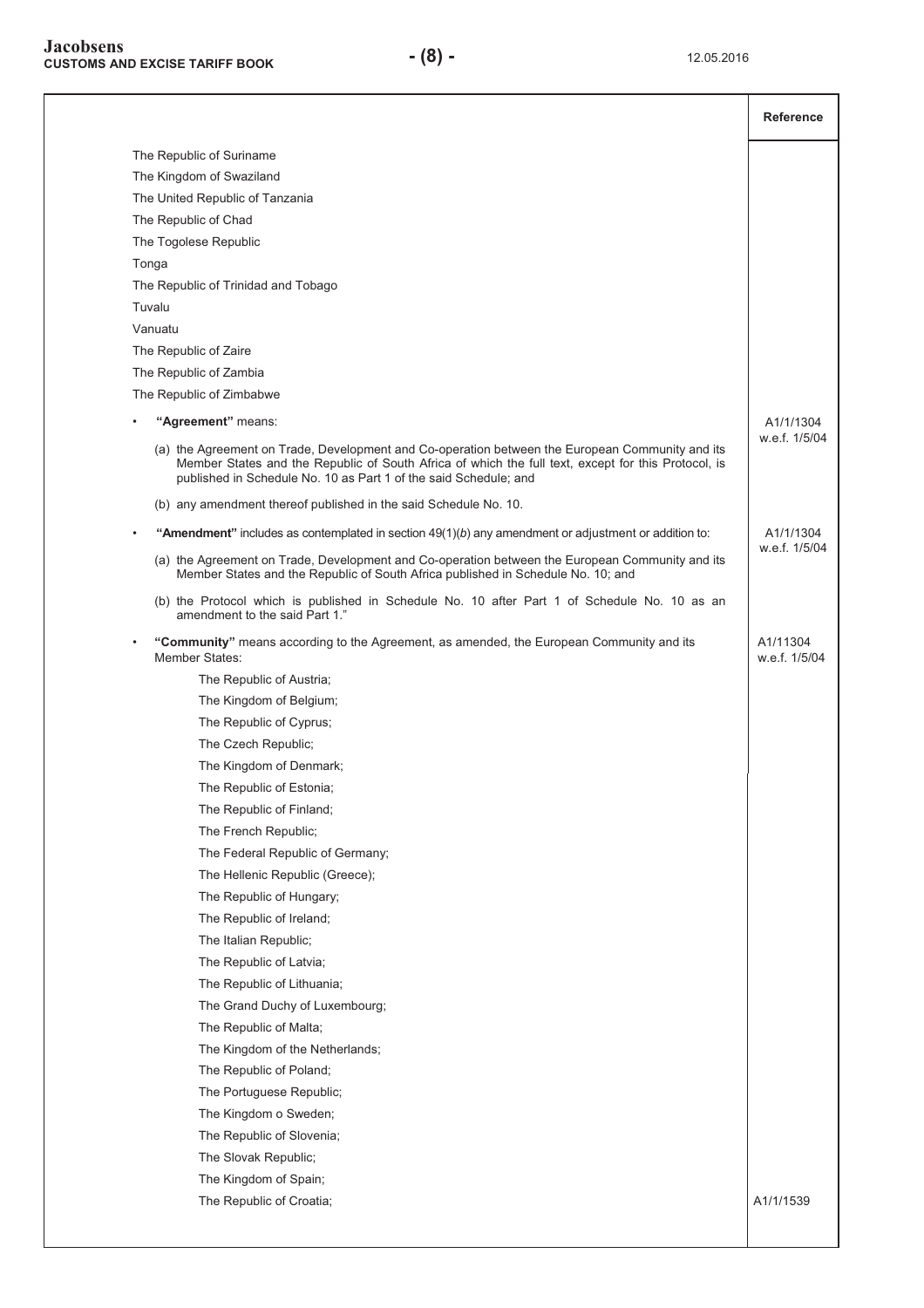|                                                                                                                                                                                                                                                                            | <b>Reference</b>          |
|----------------------------------------------------------------------------------------------------------------------------------------------------------------------------------------------------------------------------------------------------------------------------|---------------------------|
| The Republic of Suriname                                                                                                                                                                                                                                                   |                           |
| The Kingdom of Swaziland                                                                                                                                                                                                                                                   |                           |
| The United Republic of Tanzania                                                                                                                                                                                                                                            |                           |
| The Republic of Chad                                                                                                                                                                                                                                                       |                           |
| The Togolese Republic                                                                                                                                                                                                                                                      |                           |
| Tonga                                                                                                                                                                                                                                                                      |                           |
| The Republic of Trinidad and Tobago                                                                                                                                                                                                                                        |                           |
| Tuvalu                                                                                                                                                                                                                                                                     |                           |
| Vanuatu                                                                                                                                                                                                                                                                    |                           |
| The Republic of Zaire                                                                                                                                                                                                                                                      |                           |
| The Republic of Zambia                                                                                                                                                                                                                                                     |                           |
| The Republic of Zimbabwe                                                                                                                                                                                                                                                   |                           |
| "Agreement" means:                                                                                                                                                                                                                                                         | A1/1/1304                 |
| (a) the Agreement on Trade, Development and Co-operation between the European Community and its<br>Member States and the Republic of South Africa of which the full text, except for this Protocol, is<br>published in Schedule No. 10 as Part 1 of the said Schedule; and | w.e.f. 1/5/04             |
| (b) any amendment thereof published in the said Schedule No. 10.                                                                                                                                                                                                           |                           |
| "Amendment" includes as contemplated in section $49(1)(b)$ any amendment or adjustment or addition to:                                                                                                                                                                     | A1/1/1304                 |
| (a) the Agreement on Trade, Development and Co-operation between the European Community and its<br>Member States and the Republic of South Africa published in Schedule No. 10; and                                                                                        | w.e.f. 1/5/04             |
| (b) the Protocol which is published in Schedule No. 10 after Part 1 of Schedule No. 10 as an<br>amendment to the said Part 1."                                                                                                                                             |                           |
| "Community" means according to the Agreement, as amended, the European Community and its<br>Member States:                                                                                                                                                                 | A1/11304<br>w.e.f. 1/5/04 |
| The Republic of Austria;                                                                                                                                                                                                                                                   |                           |
| The Kingdom of Belgium;                                                                                                                                                                                                                                                    |                           |
| The Republic of Cyprus;                                                                                                                                                                                                                                                    |                           |
| The Czech Republic;                                                                                                                                                                                                                                                        |                           |
| The Kingdom of Denmark;                                                                                                                                                                                                                                                    |                           |
| The Republic of Estonia;                                                                                                                                                                                                                                                   |                           |
| The Republic of Finland;                                                                                                                                                                                                                                                   |                           |
| The French Republic;                                                                                                                                                                                                                                                       |                           |
| The Federal Republic of Germany;                                                                                                                                                                                                                                           |                           |
| The Hellenic Republic (Greece);                                                                                                                                                                                                                                            |                           |
| The Republic of Hungary;                                                                                                                                                                                                                                                   |                           |
| The Republic of Ireland;                                                                                                                                                                                                                                                   |                           |
| The Italian Republic;                                                                                                                                                                                                                                                      |                           |
| The Republic of Latvia;                                                                                                                                                                                                                                                    |                           |
| The Republic of Lithuania;                                                                                                                                                                                                                                                 |                           |
| The Grand Duchy of Luxembourg;                                                                                                                                                                                                                                             |                           |
| The Republic of Malta;                                                                                                                                                                                                                                                     |                           |
| The Kingdom of the Netherlands;                                                                                                                                                                                                                                            |                           |
| The Republic of Poland;                                                                                                                                                                                                                                                    |                           |
| The Portuguese Republic;                                                                                                                                                                                                                                                   |                           |
| The Kingdom o Sweden;                                                                                                                                                                                                                                                      |                           |
| The Republic of Slovenia;                                                                                                                                                                                                                                                  |                           |
| The Slovak Republic;                                                                                                                                                                                                                                                       |                           |
| The Kingdom of Spain;                                                                                                                                                                                                                                                      |                           |
| The Republic of Croatia;                                                                                                                                                                                                                                                   | A1/1/1539                 |
|                                                                                                                                                                                                                                                                            |                           |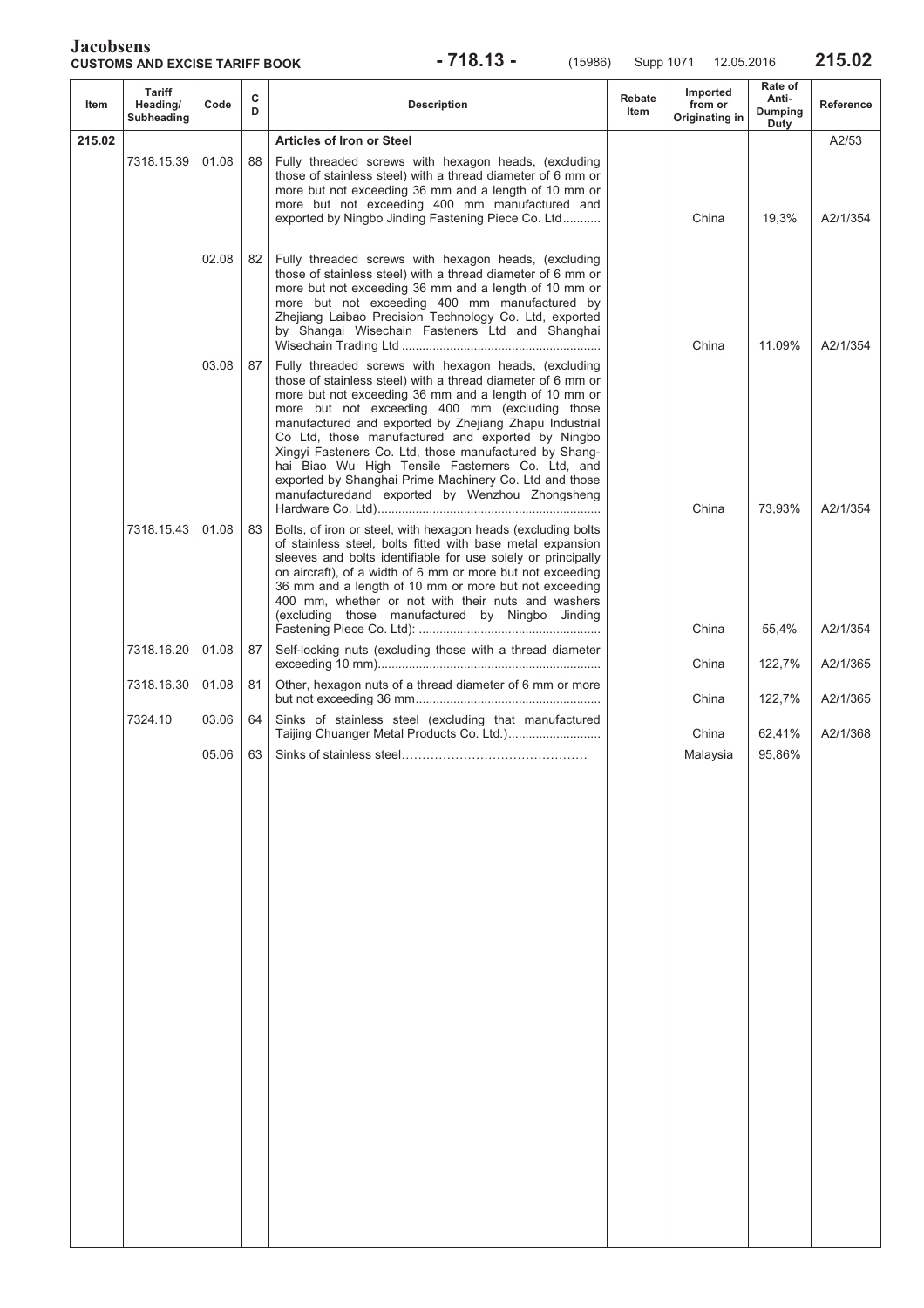**CUSTOMS AND EXCISE TARIFF BOOK - 718.13 -** (15986) Supp 1071 12.05.2016 **215.02** 

| Item   | <b>Tariff</b><br>Heading/<br>Subheading | Code  | с<br>D | <b>Description</b>                                                                                                                                                                                                                                                                                                                                                                                                                                                                                                                                                      | Rebate<br>Item | Imported<br>from or<br>Originating in | Rate of<br>Anti-<br>Dumping<br>Duty | <b>Reference</b> |
|--------|-----------------------------------------|-------|--------|-------------------------------------------------------------------------------------------------------------------------------------------------------------------------------------------------------------------------------------------------------------------------------------------------------------------------------------------------------------------------------------------------------------------------------------------------------------------------------------------------------------------------------------------------------------------------|----------------|---------------------------------------|-------------------------------------|------------------|
| 215.02 |                                         |       |        | <b>Articles of Iron or Steel</b>                                                                                                                                                                                                                                                                                                                                                                                                                                                                                                                                        |                |                                       |                                     | A2/53            |
|        | 7318.15.39                              | 01.08 | 88     | Fully threaded screws with hexagon heads, (excluding<br>those of stainless steel) with a thread diameter of 6 mm or<br>more but not exceeding 36 mm and a length of 10 mm or<br>more but not exceeding 400 mm manufactured and<br>exported by Ningbo Jinding Fastening Piece Co. Ltd                                                                                                                                                                                                                                                                                    |                | China                                 | 19,3%                               | A2/1/354         |
|        |                                         | 02.08 | 82     | Fully threaded screws with hexagon heads, (excluding<br>those of stainless steel) with a thread diameter of 6 mm or<br>more but not exceeding 36 mm and a length of 10 mm or<br>more but not exceeding 400 mm manufactured by<br>Zhejiang Laibao Precision Technology Co. Ltd, exported<br>by Shangai Wisechain Fasteners Ltd and Shanghai                                                                                                                                                                                                                              |                | China                                 | 11.09%                              | A2/1/354         |
|        |                                         | 03.08 | 87     | Fully threaded screws with hexagon heads, (excluding<br>those of stainless steel) with a thread diameter of 6 mm or<br>more but not exceeding 36 mm and a length of 10 mm or<br>more but not exceeding 400 mm (excluding those<br>manufactured and exported by Zhejiang Zhapu Industrial<br>Co Ltd, those manufactured and exported by Ningbo<br>Xingyi Fasteners Co. Ltd, those manufactured by Shang-<br>hai Biao Wu High Tensile Fasterners Co. Ltd, and<br>exported by Shanghai Prime Machinery Co. Ltd and those<br>manufacturedand exported by Wenzhou Zhongsheng |                | China                                 | 73,93%                              | A2/1/354         |
|        | 7318.15.43                              | 01.08 | 83     | Bolts, of iron or steel, with hexagon heads (excluding bolts<br>of stainless steel, bolts fitted with base metal expansion<br>sleeves and bolts identifiable for use solely or principally<br>on aircraft), of a width of 6 mm or more but not exceeding<br>36 mm and a length of 10 mm or more but not exceeding<br>400 mm, whether or not with their nuts and washers<br>(excluding those manufactured by Ningbo Jinding                                                                                                                                              |                | China                                 | 55,4%                               | A2/1/354         |
|        | 7318.16.20                              | 01.08 | 87     | Self-locking nuts (excluding those with a thread diameter                                                                                                                                                                                                                                                                                                                                                                                                                                                                                                               |                | China                                 | 122,7%                              | A2/1/365         |
|        | 7318.16.30                              | 01.08 | 81     | Other, hexagon nuts of a thread diameter of 6 mm or more                                                                                                                                                                                                                                                                                                                                                                                                                                                                                                                |                | China                                 | 122,7%                              | A2/1/365         |
|        | 7324.10                                 | 03.06 | 64     | Sinks of stainless steel (excluding that manufactured                                                                                                                                                                                                                                                                                                                                                                                                                                                                                                                   |                | China                                 | 62,41%                              | A2/1/368         |
|        |                                         | 05.06 | 63     |                                                                                                                                                                                                                                                                                                                                                                                                                                                                                                                                                                         |                | Malaysia                              | 95,86%                              |                  |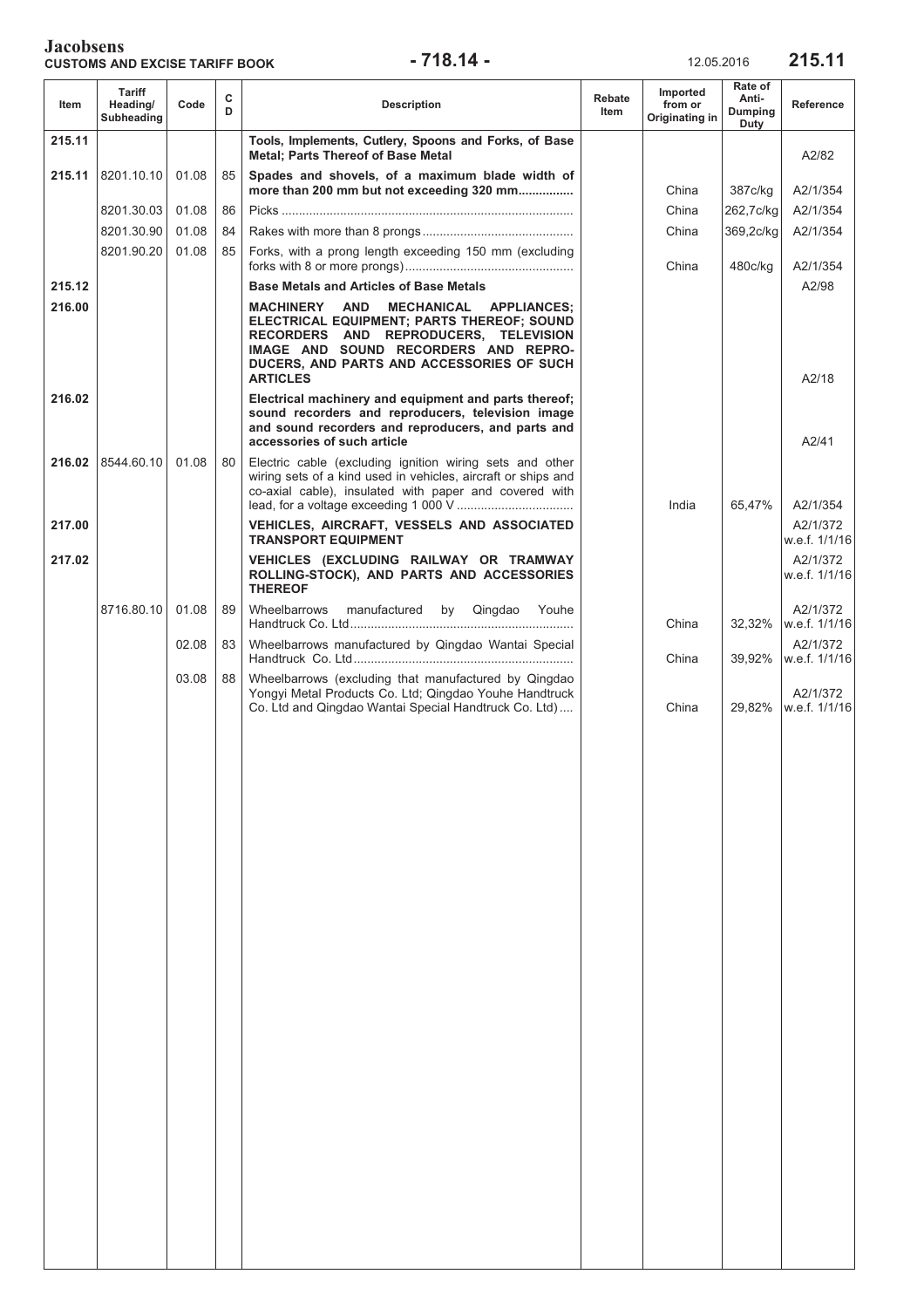### **Jacobsens CUSTOMS AND EXCISE TARIFF BOOK -718.14 -** 12.05.2016 215.11

| Item   | Tariff<br>Heading/<br>Subheading | Code  | С<br>D | <b>Description</b>                                                                                                                                                                                                                        | Rebate<br><b>Item</b> | Imported<br>from or<br>Originating in | Rate of<br>Anti-<br>Dumping<br>Duty | Reference                 |
|--------|----------------------------------|-------|--------|-------------------------------------------------------------------------------------------------------------------------------------------------------------------------------------------------------------------------------------------|-----------------------|---------------------------------------|-------------------------------------|---------------------------|
| 215.11 |                                  |       |        | Tools, Implements, Cutlery, Spoons and Forks, of Base<br><b>Metal: Parts Thereof of Base Metal</b>                                                                                                                                        |                       |                                       |                                     | A2/82                     |
| 215.11 | 8201.10.10                       | 01.08 | 85     | Spades and shovels, of a maximum blade width of<br>more than 200 mm but not exceeding 320 mm                                                                                                                                              |                       | China                                 | 387c/kg                             | A2/1/354                  |
|        | 8201.30.03                       | 01.08 | 86     |                                                                                                                                                                                                                                           |                       | China                                 | 262,7c/kg                           | A2/1/354                  |
|        | 8201.30.90                       | 01.08 | 84     |                                                                                                                                                                                                                                           |                       | China                                 | 369,2c/kg                           | A2/1/354                  |
|        | 8201.90.20                       | 01.08 | 85     | Forks, with a prong length exceeding 150 mm (excluding                                                                                                                                                                                    |                       | China                                 | 480c/kg                             | A2/1/354                  |
| 215.12 |                                  |       |        | <b>Base Metals and Articles of Base Metals</b>                                                                                                                                                                                            |                       |                                       |                                     | A2/98                     |
| 216.00 |                                  |       |        | MACHINERY<br>AND<br>MECHANICAL APPLIANCES;<br>ELECTRICAL EQUIPMENT; PARTS THEREOF; SOUND<br>RECORDERS AND REPRODUCERS, TELEVISION<br>IMAGE AND SOUND RECORDERS AND REPRO-<br>DUCERS, AND PARTS AND ACCESSORIES OF SUCH<br><b>ARTICLES</b> |                       |                                       |                                     | A2/18                     |
| 216.02 |                                  |       |        | Electrical machinery and equipment and parts thereof;<br>sound recorders and reproducers, television image<br>and sound recorders and reproducers, and parts and<br>accessories of such article                                           |                       |                                       |                                     | A2/41                     |
|        | 216.02 8544.60.10                | 01.08 | 80     | Electric cable (excluding ignition wiring sets and other<br>wiring sets of a kind used in vehicles, aircraft or ships and<br>co-axial cable), insulated with paper and covered with                                                       |                       | India                                 | 65,47%                              | A2/1/354                  |
| 217.00 |                                  |       |        | VEHICLES, AIRCRAFT, VESSELS AND ASSOCIATED<br><b>TRANSPORT EQUIPMENT</b>                                                                                                                                                                  |                       |                                       |                                     | A2/1/372<br>w.e.f. 1/1/16 |
| 217.02 |                                  |       |        | VEHICLES (EXCLUDING RAILWAY OR TRAMWAY<br>ROLLING-STOCK), AND PARTS AND ACCESSORIES<br><b>THEREOF</b>                                                                                                                                     |                       |                                       |                                     | A2/1/372<br>w.e.f. 1/1/16 |
|        | 8716.80.10                       | 01.08 | 89     | Wheelbarrows<br>manufactured by Qingdao Youhe                                                                                                                                                                                             |                       | China                                 | 32,32%                              | A2/1/372<br>w.e.f. 1/1/16 |
|        |                                  | 02.08 | 83     | Wheelbarrows manufactured by Qingdao Wantai Special                                                                                                                                                                                       |                       | China                                 | 39,92%                              | A2/1/372<br>w.e.f. 1/1/16 |
|        |                                  | 03.08 | 88     | Wheelbarrows (excluding that manufactured by Qingdao<br>Yongyi Metal Products Co. Ltd; Qingdao Youhe Handtruck<br>Co. Ltd and Qingdao Wantai Special Handtruck Co. Ltd)                                                                   |                       | China                                 | 29,82%                              | A2/1/372<br>w.e.f. 1/1/16 |
|        |                                  |       |        |                                                                                                                                                                                                                                           |                       |                                       |                                     |                           |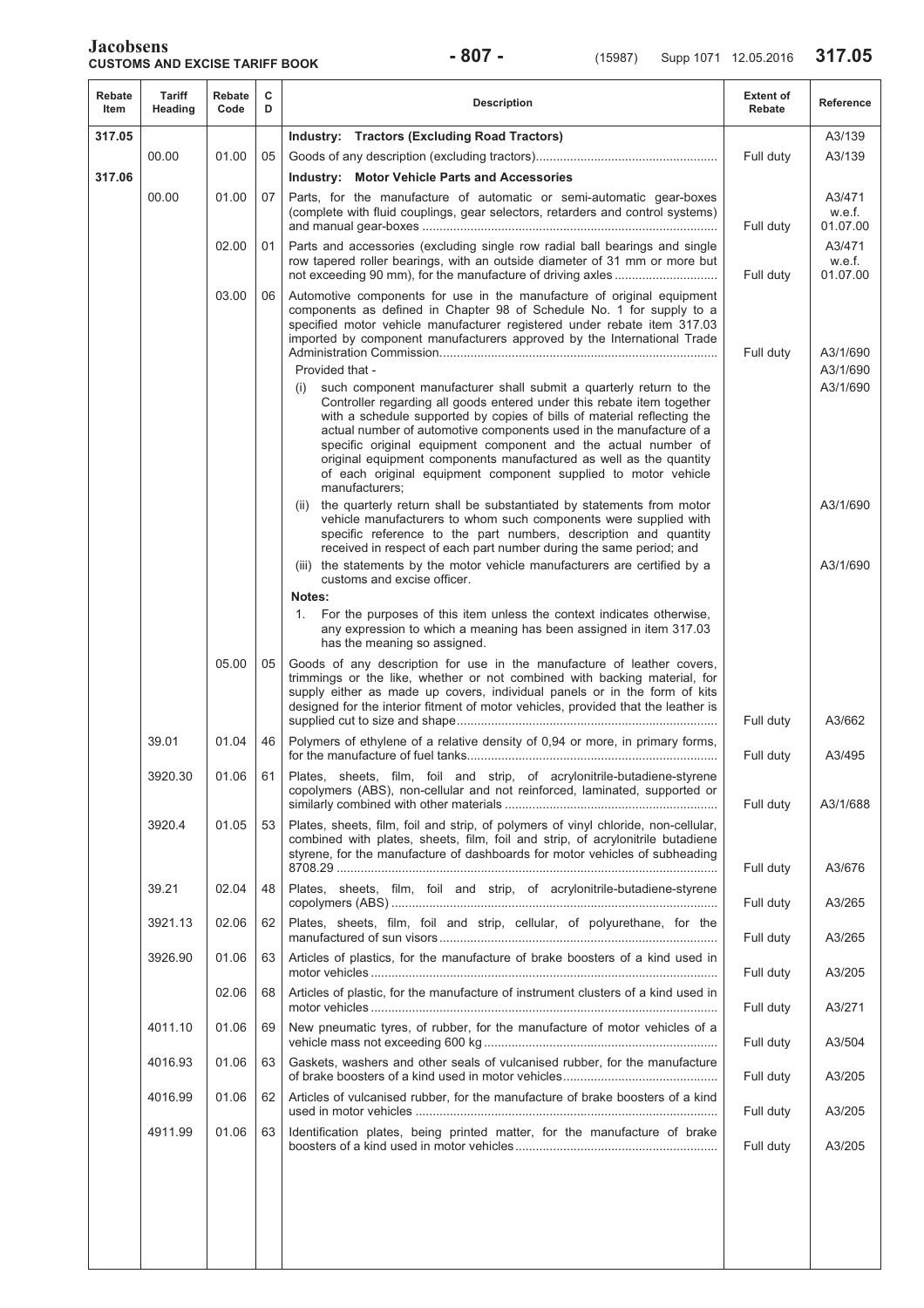| Rebate<br>Item | Tariff<br>Heading | Rebate<br>Code | с<br>D | <b>Description</b>                                                                                                                                                                                                                                                                                                                                                                                                                                                                                                                | <b>Extent of</b><br>Rebate | Reference                    |
|----------------|-------------------|----------------|--------|-----------------------------------------------------------------------------------------------------------------------------------------------------------------------------------------------------------------------------------------------------------------------------------------------------------------------------------------------------------------------------------------------------------------------------------------------------------------------------------------------------------------------------------|----------------------------|------------------------------|
| 317.05         |                   |                |        | Industry: Tractors (Excluding Road Tractors)                                                                                                                                                                                                                                                                                                                                                                                                                                                                                      |                            | A3/139                       |
|                | 00.00             | 01.00          | 05     |                                                                                                                                                                                                                                                                                                                                                                                                                                                                                                                                   | Full duty                  | A3/139                       |
| 317.06         |                   |                |        | <b>Industry: Motor Vehicle Parts and Accessories</b>                                                                                                                                                                                                                                                                                                                                                                                                                                                                              |                            |                              |
|                | 00.00             | 01.00          | 07     | Parts, for the manufacture of automatic or semi-automatic gear-boxes<br>(complete with fluid couplings, gear selectors, retarders and control systems)                                                                                                                                                                                                                                                                                                                                                                            | Full duty                  | A3/471<br>w.e.f.<br>01.07.00 |
|                |                   | 02.00          | 01     | Parts and accessories (excluding single row radial ball bearings and single<br>row tapered roller bearings, with an outside diameter of 31 mm or more but                                                                                                                                                                                                                                                                                                                                                                         | Full duty                  | A3/471<br>w.e.f.<br>01.07.00 |
|                |                   | 03.00          | 06     | Automotive components for use in the manufacture of original equipment<br>components as defined in Chapter 98 of Schedule No. 1 for supply to a<br>specified motor vehicle manufacturer registered under rebate item 317.03<br>imported by component manufacturers approved by the International Trade                                                                                                                                                                                                                            | Full duty                  | A3/1/690                     |
|                |                   |                |        | Provided that -                                                                                                                                                                                                                                                                                                                                                                                                                                                                                                                   |                            | A3/1/690                     |
|                |                   |                |        | such component manufacturer shall submit a quarterly return to the<br>(i)<br>Controller regarding all goods entered under this rebate item together<br>with a schedule supported by copies of bills of material reflecting the<br>actual number of automotive components used in the manufacture of a<br>specific original equipment component and the actual number of<br>original equipment components manufactured as well as the quantity<br>of each original equipment component supplied to motor vehicle<br>manufacturers; |                            | A3/1/690                     |
|                |                   |                |        | the quarterly return shall be substantiated by statements from motor<br>(ii)<br>vehicle manufacturers to whom such components were supplied with<br>specific reference to the part numbers, description and quantity<br>received in respect of each part number during the same period; and                                                                                                                                                                                                                                       |                            | A3/1/690                     |
|                |                   |                |        | (iii) the statements by the motor vehicle manufacturers are certified by a<br>customs and excise officer.                                                                                                                                                                                                                                                                                                                                                                                                                         |                            | A3/1/690                     |
|                |                   |                |        | Notes:<br>For the purposes of this item unless the context indicates otherwise,<br>1.<br>any expression to which a meaning has been assigned in item 317.03<br>has the meaning so assigned.                                                                                                                                                                                                                                                                                                                                       |                            |                              |
|                |                   | 05.00          | 05     | Goods of any description for use in the manufacture of leather covers,<br>trimmings or the like, whether or not combined with backing material, for<br>supply either as made up covers, individual panels or in the form of kits<br>designed for the interior fitment of motor vehicles, provided that the leather is                                                                                                                                                                                                             | Full duty                  | A3/662                       |
|                | 39.01             | 01.04          | 46     | Polymers of ethylene of a relative density of 0,94 or more, in primary forms,                                                                                                                                                                                                                                                                                                                                                                                                                                                     | Full duty                  | A3/495                       |
|                | 3920.30           | 01.06          | 61     | Plates, sheets, film, foil and strip, of acrylonitrile-butadiene-styrene<br>copolymers (ABS), non-cellular and not reinforced, laminated, supported or                                                                                                                                                                                                                                                                                                                                                                            | Full duty                  | A3/1/688                     |
|                | 3920.4            | 01.05          | 53     | Plates, sheets, film, foil and strip, of polymers of vinyl chloride, non-cellular,<br>combined with plates, sheets, film, foil and strip, of acrylonitrile butadiene<br>styrene, for the manufacture of dashboards for motor vehicles of subheading                                                                                                                                                                                                                                                                               | Full duty                  | A3/676                       |
|                | 39.21             | 02.04          | 48     | Plates, sheets, film, foil and strip, of acrylonitrile-butadiene-styrene                                                                                                                                                                                                                                                                                                                                                                                                                                                          | Full duty                  | A3/265                       |
|                | 3921.13           | 02.06          | 62     | Plates, sheets, film, foil and strip, cellular, of polyurethane, for the                                                                                                                                                                                                                                                                                                                                                                                                                                                          | Full duty                  | A3/265                       |
|                | 3926.90           | 01.06          | 63     | Articles of plastics, for the manufacture of brake boosters of a kind used in                                                                                                                                                                                                                                                                                                                                                                                                                                                     | Full duty                  | A3/205                       |
|                |                   | 02.06          | 68     | Articles of plastic, for the manufacture of instrument clusters of a kind used in                                                                                                                                                                                                                                                                                                                                                                                                                                                 | Full duty                  | A3/271                       |
|                | 4011.10           | 01.06          | 69     | New pneumatic tyres, of rubber, for the manufacture of motor vehicles of a                                                                                                                                                                                                                                                                                                                                                                                                                                                        | Full duty                  | A3/504                       |
|                | 4016.93           | 01.06          | 63     | Gaskets, washers and other seals of vulcanised rubber, for the manufacture                                                                                                                                                                                                                                                                                                                                                                                                                                                        | Full duty                  | A3/205                       |
|                | 4016.99           | 01.06          | 62     | Articles of vulcanised rubber, for the manufacture of brake boosters of a kind                                                                                                                                                                                                                                                                                                                                                                                                                                                    | Full duty                  | A3/205                       |
|                | 4911.99           | 01.06          | 63     | Identification plates, being printed matter, for the manufacture of brake                                                                                                                                                                                                                                                                                                                                                                                                                                                         | Full duty                  | A3/205                       |
|                |                   |                |        |                                                                                                                                                                                                                                                                                                                                                                                                                                                                                                                                   |                            |                              |